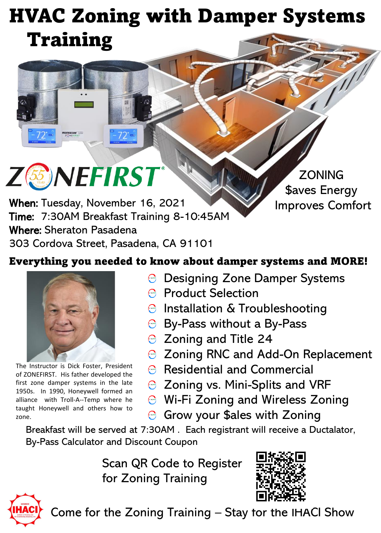## HVAC Zoning with Damper Systems Training



When: Tuesday, November 16, 2021 Time: 7:30AM Breakfast Training 8-10:45AM Where: Sheraton Pasadena 303 Cordova Street, Pasadena, CA 91101

**ZONING** \$aves Energy Improves Comfort

## Everything you needed to know about damper systems and MORE!



The Instructor is Dick Foster, President of ZONEFIRST. His father developed the first zone damper systems in the late 1950s. In 1990, Honeywell formed an alliance with Troll-A--Temp where he taught Honeywell and others how to zone.

- $\Theta$  Designing Zone Damper Systems
- **Product Selection**
- $\Theta$  Installation & Troubleshooting
- $\Theta$  By-Pass without a By-Pass
- $\odot$  Zoning and Title 24
- **◯ Zoning RNC and Add-On Replacement**
- Residential and Commercial
- **◯ Zoning vs. Mini-Splits and VRF**
- $\odot$  Wi-Fi Zoning and Wireless Zoning
- $\Theta$  Grow your \$ales with Zoning

Breakfast will be served at 7:30AM . Each registrant will receive a Ductalator, By-Pass Calculator and Discount Coupon

> Scan QR Code to Register for Zoning Training





Come for the Zoning Training – Stay for the IHACI Show